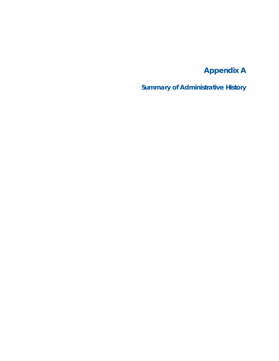## **Appendix A**

**Summary of Administrative History**